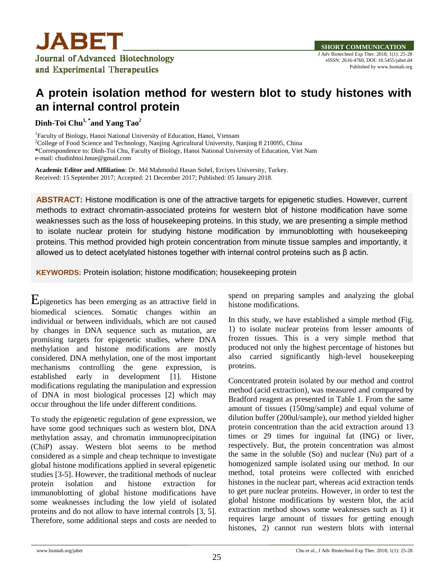

## **A protein isolation method for western blot to study histones with an internal control protein**

**Dinh-Toi Chu1, \* and Yang Tao<sup>2</sup>**

<sup>1</sup>Faculty of Biology, Hanoi National University of Education, Hanoi, Vietnam <sup>2</sup>College of Food Science and Technology, Nanjing Agricultural University, Nanjing 8 210095, China **\***Correspondence to: Dinh-Toi Chu, Faculty of Biology, Hanoi National University of Education, Viet Nam e-mail: chudinhtoi.hnue@gmail.com

**Academic Editor and Affiliation**: Dr. Md Mahmodul Hasan Sohel, Erciyes University, Turkey. Received: 15 September 2017; Accepted: 21 December 2017; Published: 05 January 2018.

**ABSTRACT:** Histone modification is one of the attractive targets for epigenetic studies. However, current methods to extract chromatin-associated proteins for western blot of histone modification have some weaknesses such as the loss of housekeeping proteins. In this study, we are presenting a simple method to isolate nuclear protein for studying histone modification by immunoblotting with housekeeping proteins. This method provided high protein concentration from minute tissue samples and importantly, it allowed us to detect acetylated histones together with internal control proteins such as β actin.

**KEYWORDS:** Protein isolation; histone modification; housekeeping protein

Epigenetics has been emerging as an attractive field in biomedical sciences. Somatic changes within an individual or between individuals, which are not caused by changes in DNA sequence such as mutation, are promising targets for epigenetic studies, where DNA methylation and histone modifications are mostly considered. DNA methylation, one of the most important mechanisms controlling the gene expression, is established early in development [\[1\]](#page-2-0). Histone modifications regulating the manipulation and expression of DNA in most biological processes [\[2\]](#page-2-1) which may occur throughout the life under different conditions.

To study the epigenetic regulation of gene expression, we have some good techniques such as western blot, DNA methylation assay, and chromatin immunoprecipitation (ChiP) assay. Western blot seems to be method considered as a simple and cheap technique to investigate global histone modifications applied in several epigenetic studies [\[3-5\]](#page-2-2). However, the traditional methods of nuclear protein isolation and histone extraction for immunoblotting of global histone modifications have some weaknesses including the low yield of isolated proteins and do not allow to have internal controls [\[3,](#page-2-2) [5\]](#page-2-3). Therefore, some additional steps and costs are needed to

spend on preparing samples and analyzing the global histone modifications.

In this study, we have established a simple method (Fig. 1) to isolate nuclear proteins from lesser amounts of frozen tissues. This is a very simple method that produced not only the highest percentage of histones but also carried significantly high-level housekeeping proteins.

Concentrated protein isolated by our method and control method (acid extraction), was measured and compared by Bradford reagent as presented in Table 1. From the same amount of tissues (150mg/sample) and equal volume of dilution buffer (200ul/sample), our method yielded higher protein concentration than the acid extraction around 13 times or 29 times for inguinal fat (ING) or liver, respectively. But, the protein concentration was almost the same in the soluble (So) and nuclear (Nu) part of a homogenized sample isolated using our method. In our method, total proteins were collected with enriched histones in the nuclear part, whereas acid extraction tends to get pure nuclear proteins. However, in order to test the global histone modifications by western blot, the acid extraction method shows some weaknesses such as 1) it requires large amount of tissues for getting enough histones, 2) cannot run western blots with internal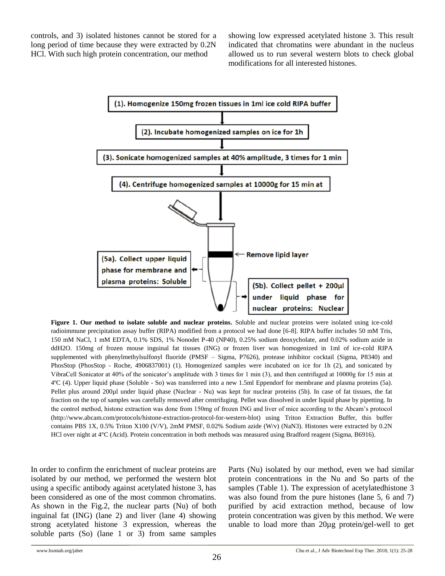controls, and 3) isolated histones cannot be stored for a long period of time because they were extracted by 0.2N HCl. With such high protein concentration, our method

showing low expressed acetylated histone 3. This result indicated that chromatins were abundant in the nucleus allowed us to run several western blots to check global modifications for all interested histones.



**Figure 1. Our method to isolate soluble and nuclear proteins.** Soluble and nuclear proteins were isolated using ice-cold radioimmune precipitation assay buffer (RIPA) modified from a protocol we had done [6-8]. RIPA buffer includes 50 mM Tris, 150 mM NaCl, 1 mM EDTA, 0.1% SDS, 1% Nonodet P-40 (NP40), 0.25% sodium deoxycholate, and 0.02% sodium azide in ddH2O. 150mg of frozen mouse inguinal fat tissues (ING) or frozen liver was homogenized in 1ml of ice-cold RIPA supplemented with phenylmethylsulfonyl fluoride (PMSF – Sigma, P7626), protease inhibitor cocktail (Sigma, P8340) and PhosStop (PhosStop - Roche, 4906837001) (1). Homogenized samples were incubated on ice for 1h (2), and sonicated by VibraCell Sonicator at 40% of the sonicator's amplitude with 3 times for 1 min (3), and then centrifuged at 10000g for 15 min at 4ºC (4). Upper liquid phase (Soluble - So) was transferred into a new 1.5ml Eppendorf for membrane and plasma proteins (5a). Pellet plus around 200µl under liquid phase (Nuclear - Nu) was kept for nuclear proteins (5b). In case of fat tissues, the fat fraction on the top of samples was carefully removed after centrifuging. Pellet was dissolved in under liquid phase by pipetting. In the control method, histone extraction was done from 150mg of frozen ING and liver of mice according to the Abcam's protocol (http://www.abcam.com/protocols/histone-extraction-protocol-for-western-blot) using Triton Extraction Buffer, this buffer contains PBS 1X, 0.5% Triton X100 (V/V), 2mM PMSF, 0.02% Sodium azide (W/v) (NaN3). Histones were extracted by 0.2N HCl over night at 4°C (Acid). Protein concentration in both methods was measured using Bradford reagent (Sigma, B6916).

In order to confirm the enrichment of nuclear proteins are isolated by our method, we performed the western blot using a specific antibody against acetylated histone 3, has been considered as one of the most common chromatins. As shown in the Fig.2, the nuclear parts (Nu) of both inguinal fat (ING) (lane 2) and liver (lane 4) showing strong acetylated histone 3 expression, whereas the soluble parts (So) (lane 1 or 3) from same samples

Parts (Nu) isolated by our method, even we had similar protein concentrations in the Nu and So parts of the samples (Table 1). The expression of acetylatedhistone 3 was also found from the pure histones (lane 5, 6 and 7) purified by acid extraction method, because of low protein concentration was given by this method. We were unable to load more than 20µg protein/gel-well to get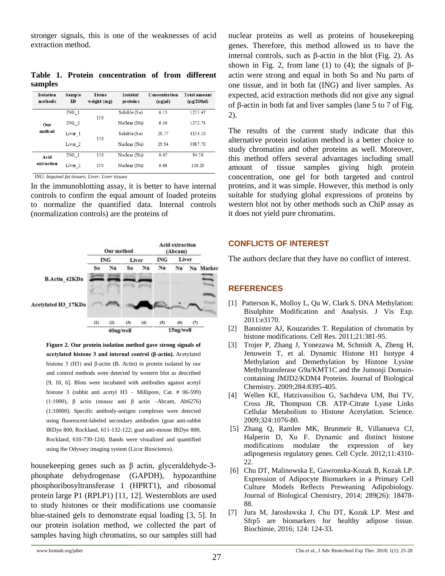stronger signals, this is one of the weaknesses of acid extraction method.

**Table 1. Protein concentration of from different samples** 

| <b>Isolation</b><br>methods | <b>Sample</b><br>ID | <b>Tissue</b><br>weight (mg) | <b>Isolated</b><br>proteins | <b>Concentration</b><br>$(\mu g/\mu l)$ | <b>Total amount</b><br>$(\mu$ g/200 $\mu$ l) |
|-----------------------------|---------------------|------------------------------|-----------------------------|-----------------------------------------|----------------------------------------------|
| Our<br>method               | ING <sub>1</sub>    | 150                          | Soluble (So)                | 6.13                                    | 1225.47                                      |
|                             | ING <sub>2</sub>    |                              | Nuclear (Nu)                | 6.36                                    | 1272.73                                      |
|                             | Liver 1             | 150                          | Soluble (So)                | 20 77                                   | 4154 10                                      |
|                             | Liver <sub>2</sub>  |                              | Nuclear (Nu)                | 19 94                                   | 3987.70                                      |
| Acid<br>extraction          | ING <sub>1</sub>    | 150                          | Nuclear (Nu)                | 0.47                                    | 94.50                                        |
|                             | Liver <sub>2</sub>  | 150                          | Nuclear (Nu)                | 0.68                                    | 136.20                                       |

*ING: Inguinal fat tissues; Liver: Liver tissues*

In the immunoblotting assay, it is better to have internal controls to confirm the equal amount of loaded proteins to normalize the quantified data. Internal controls (normalization controls) are the proteins of



**Figure 2. Our protein isolation method gave strong signals of acetylated histone 3 and internal control (β-actin).** Acetylated histone 3 (H3) and β-actin (B. Actin) in protein isolated by our and control methods were detected by western blot as described [9, 10, 6]. Blots were incubated with antibodies against acetyl histone 3 (rabbit anti acetyl H3 – Millipore, Cat. # 06-599) (1:1000),  $\beta$  actin (mouse anti  $\beta$  actin –Abcam, Ab6276) (1:10000). Specific antibody-antigen complexes were detected using fluorescent-labeled secondary antibodies (goat anti-rabbit IRDye 800, Rockland, 611-132-122; goat anti-mouse IRDye 800, Rockland, 610-730-124). Bands were visualized and quantified using the Odyssey imaging system (Licor Bioscience).

housekeeping genes such as β actin, glyceraldehyde-3 phosphate dehydrogenase (GAPDH), hypozanthine phosphoribosyltransferase 1 (HPRT1), and ribosomal protein large P1 (RPLP1) [\[11,](#page-3-0) [12\]](#page-3-1). Westernblots are used to study histones or their modifications use coomassie blue-stained gels to demonstrate equal loading [\[3,](#page-2-2) [5\]](#page-2-3). In our protein isolation method, we collected the part of samples having high chromatins, so our samples still had

nuclear proteins as well as proteins of housekeeping genes. Therefore, this method allowed us to have the internal controls, such as β-actin in the blot (Fig. 2). As shown in Fig. 2, from lane (1) to (4); the signals of  $\beta$ actin were strong and equal in both So and Nu parts of one tissue, and in both fat (ING) and liver samples. As expected, acid extraction methods did not give any signal of β-actin in both fat and liver samples (lane 5 to 7 of Fig. 2).

The results of the current study indicate that this alternative protein isolation method is a better choice to study chromatins and other proteins as well. Moreover, this method offers several advantages including small amount of tissue samples giving high protein concentration, one gel for both targeted and control proteins, and it was simple. However, this method is only suitable for studying global expressions of proteins by western blot not by other methods such as ChiP assay as it does not yield pure chromatins.

## **CONFLICTS OF INTEREST**

The authors declare that they have no conflict of interest.

## **REFERENCES**

- <span id="page-2-0"></span>[1] Patterson K, Molloy L, Qu W, Clark S. DNA Methylation: Bisulphite Modification and Analysis. J Vis Exp. 2011:e3170.
- <span id="page-2-1"></span>[2] Bannister AJ, Kouzarides T. Regulation of chromatin by histone modifications. Cell Res. 2011;21:381-95.
- <span id="page-2-2"></span>[3] Trojer P, Zhang J, Yonezawa M, Schmidt A, Zheng H, Jenuwein T, et al. Dynamic Histone H1 Isotype 4 Methylation and Demethylation by Histone Lysine Methyltransferase G9a/KMT1C and the Jumonji Domaincontaining JMJD2/KDM4 Proteins. Journal of Biological Chemistry. 2009;284:8395-405.
- <span id="page-2-3"></span>[4] Wellen KE, Hatzivassiliou G, Sachdeva UM, Bui TV, Cross JR, Thompson CB. ATP-Citrate Lyase Links Cellular Metabolism to Histone Acetylation. Science. 2009;324:1076-80.
- [5] Zhang Q, Ramlee MK, Brunmeir R, Villanueva CJ, Halperin D, Xu F. Dynamic and distinct histone modifications modulate the expression of key adipogenesis regulatory genes. Cell Cycle. 2012;11:4310- 22.
- [6] Chu DT, Malinowska E, Gawronska-Kozak B, Kozak LP. Expression of Adipocyte Biomarkers in a Primary Cell Culture Models Reflects Preweaning Adipobiology. Journal of Biological Chemistry, 2014; 289(26): 18478- 88.
- [7] Jura M, Jarosławska J, Chu DT, Kozak LP. Mest and Sfrp5 are biomarkers for healthy adipose tissue. Biochimie, 2016; 124: 124-33.